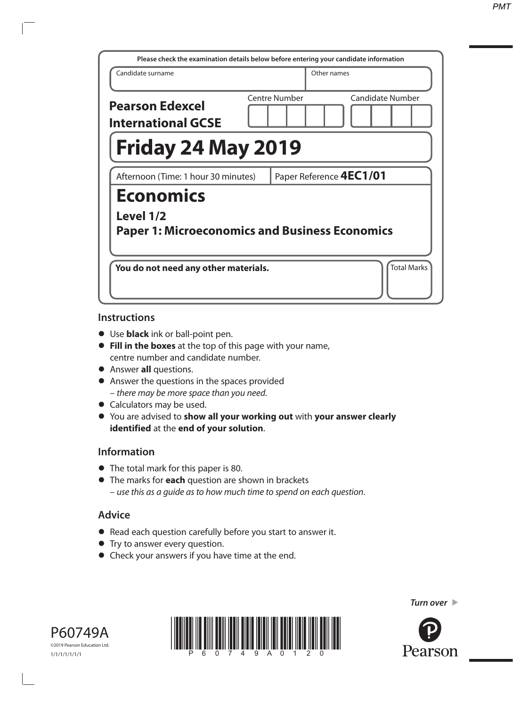|                                                       | Please check the examination details below before entering your candidate information |
|-------------------------------------------------------|---------------------------------------------------------------------------------------|
| Candidate surname                                     | Other names                                                                           |
| <b>Pearson Edexcel</b><br><b>International GCSE</b>   | <b>Candidate Number</b><br>Centre Number                                              |
| <b>Friday 24 May 2019</b>                             |                                                                                       |
| Afternoon (Time: 1 hour 30 minutes)                   | Paper Reference 4EC1/01                                                               |
| <b>Economics</b>                                      |                                                                                       |
| Level 1/2                                             |                                                                                       |
| <b>Paper 1: Microeconomics and Business Economics</b> |                                                                                       |
| You do not need any other materials.                  | <b>Total Marks</b>                                                                    |

### **Instructions**

- **•** Use **black** ink or ball-point pen.
- **• Fill in the boxes** at the top of this page with your name, centre number and candidate number.
- **•** Answer **all** questions.
- **•** Answer the questions in the spaces provided – *there may be more space than you need*.
- **•** Calculators may be used.
- **•** You are advised to **show all your working out** with **your answer clearly identified** at the **end of your solution**.

### **Information**

- **•** The total mark for this paper is 80.
- **•** The marks for **each** question are shown in brackets – *use this as a guide as to how much time to spend on each question*.

## **Advice**

- **•** Read each question carefully before you start to answer it.
- **•** Try to answer every question.
- **•** Check your answers if you have time at the end.





*Turn over* 

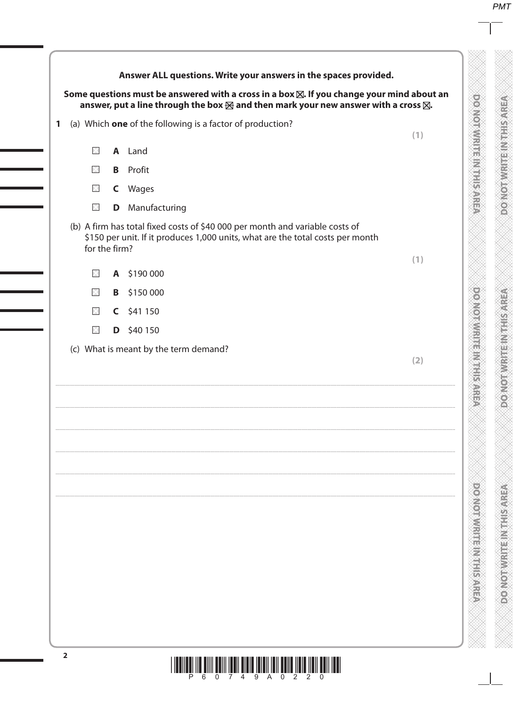|               |              | Some questions must be answered with a cross in a box $\boxtimes$ . If you change your mind about an<br>answer, put a line through the box $\boxtimes$ and then mark your new answer with a cross $\boxtimes$ . |     |  |
|---------------|--------------|-----------------------------------------------------------------------------------------------------------------------------------------------------------------------------------------------------------------|-----|--|
|               |              | (a) Which one of the following is a factor of production?                                                                                                                                                       | (1) |  |
| $\boxtimes$   |              | A Land                                                                                                                                                                                                          |     |  |
| $\times$      |              | <b>B</b> Profit                                                                                                                                                                                                 |     |  |
| $\times$      | $\mathsf{C}$ | Wages                                                                                                                                                                                                           |     |  |
| $\times$      | D            | Manufacturing                                                                                                                                                                                                   |     |  |
| for the firm? |              | (b) A firm has total fixed costs of \$40 000 per month and variable costs of<br>\$150 per unit. If it produces 1,000 units, what are the total costs per month                                                  |     |  |
| $\times$      |              |                                                                                                                                                                                                                 | (1) |  |
| $\times$      | B            | A \$190 000<br>\$150 000                                                                                                                                                                                        |     |  |
| $\times$      | C            | \$41 150                                                                                                                                                                                                        |     |  |
| $\times$      | D            | \$40 150                                                                                                                                                                                                        |     |  |
|               |              |                                                                                                                                                                                                                 | (2) |  |
|               |              |                                                                                                                                                                                                                 |     |  |

# <u>||ITTILLÖ III <sup>e</sup>nii ônii ồnii tìnii ônii lĩnii mi ônii hini hini ônii ITTI</u>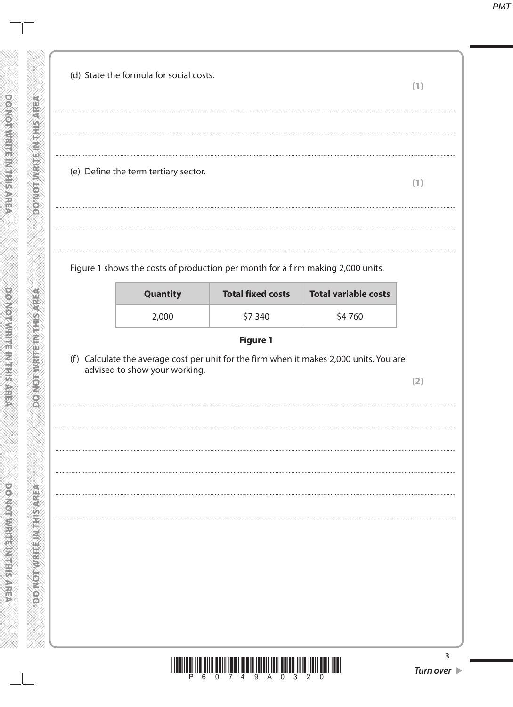|                                      |                                                                                                            |                             | (1) |
|--------------------------------------|------------------------------------------------------------------------------------------------------------|-----------------------------|-----|
| (e) Define the term tertiary sector. |                                                                                                            |                             | (1) |
|                                      | Figure 1 shows the costs of production per month for a firm making 2,000 units.                            |                             |     |
| Quantity                             | <b>Total fixed costs</b>                                                                                   | <b>Total variable costs</b> |     |
| 2,000                                | \$7 340                                                                                                    | \$4760                      |     |
| advised to show your working.        | <b>Figure 1</b><br>(f) Calculate the average cost per unit for the firm when it makes 2,000 units. You are |                             | (2) |
|                                      |                                                                                                            |                             |     |

DONOTWRITE INTHIS AREA

**DOOMORAHEMENTSKER** 

**DO NOT WRITE IN THIS AREA**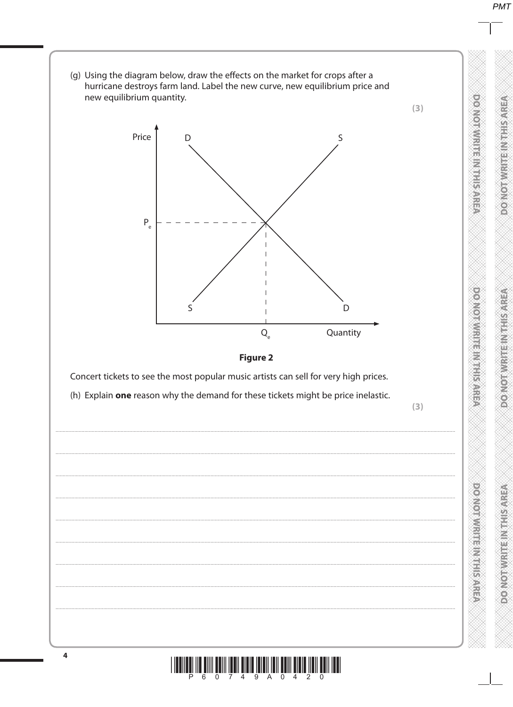

**RESISTED IN THE PROPERTY OF STRON** 

**DOMORAGE HAVE** 

经过期

**PERIODIAN STRAIGHTS AND STRAIGHTS** 

*CERT RESIDENT REPAIRING COMPOSITION*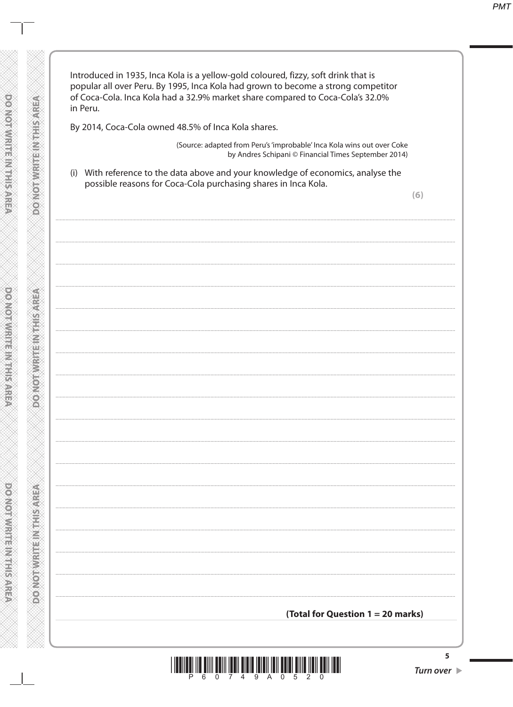| By 2014, Coca-Cola owned 48.5% of Inca Kola shares.            |                                                                                                                                |     |
|----------------------------------------------------------------|--------------------------------------------------------------------------------------------------------------------------------|-----|
|                                                                | (Source: adapted from Peru's 'improbable' Inca Kola wins out over Coke<br>by Andres Schipani © Financial Times September 2014) |     |
| possible reasons for Coca-Cola purchasing shares in Inca Kola. | (i) With reference to the data above and your knowledge of economics, analyse the                                              | (6) |
|                                                                |                                                                                                                                |     |
|                                                                |                                                                                                                                |     |
|                                                                |                                                                                                                                |     |
|                                                                |                                                                                                                                |     |
|                                                                |                                                                                                                                |     |
|                                                                |                                                                                                                                |     |
|                                                                |                                                                                                                                |     |
|                                                                |                                                                                                                                |     |
|                                                                |                                                                                                                                |     |
|                                                                |                                                                                                                                |     |
|                                                                |                                                                                                                                |     |
|                                                                |                                                                                                                                |     |
|                                                                |                                                                                                                                |     |
|                                                                |                                                                                                                                |     |
|                                                                |                                                                                                                                |     |
|                                                                |                                                                                                                                |     |
|                                                                |                                                                                                                                |     |
|                                                                |                                                                                                                                |     |
|                                                                |                                                                                                                                |     |
|                                                                |                                                                                                                                |     |
|                                                                |                                                                                                                                |     |
|                                                                |                                                                                                                                |     |
|                                                                |                                                                                                                                |     |
|                                                                |                                                                                                                                |     |
|                                                                |                                                                                                                                |     |
|                                                                |                                                                                                                                |     |
|                                                                |                                                                                                                                |     |
|                                                                |                                                                                                                                |     |
|                                                                |                                                                                                                                |     |
|                                                                | (Total for Question 1 = 20 marks)                                                                                              |     |
|                                                                |                                                                                                                                |     |



**DO MOTURITIES NEWSFILE** 

l

**DONOTWRITEINTHIS AREA**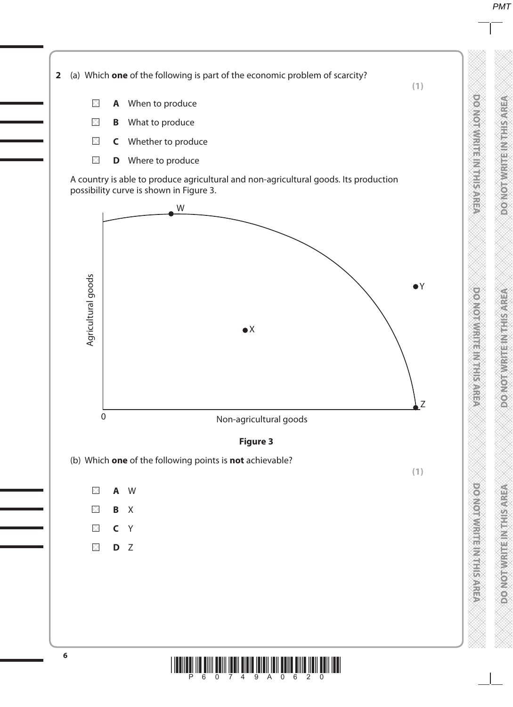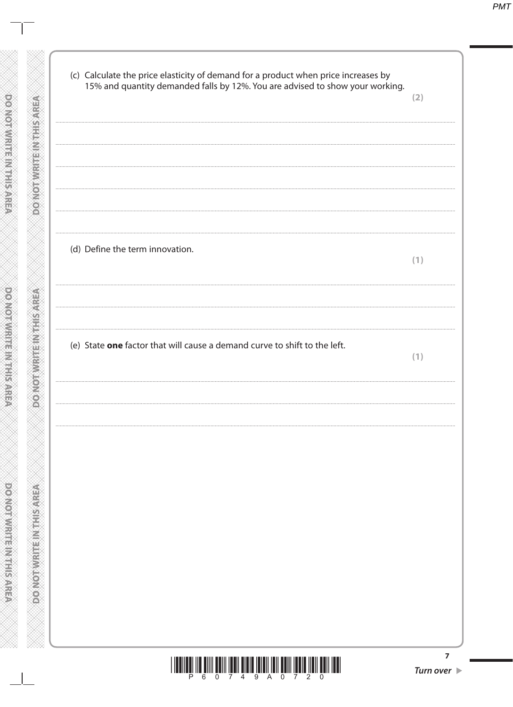| (e) State one factor that will cause a demand curve to shift to the left.<br>(1) |
|----------------------------------------------------------------------------------|
|                                                                                  |
| (d) Define the term innovation.<br>(1)                                           |

T

poworwarismichingwey

**DOWNOTIVE INTERNATION** 

power wranter Millery and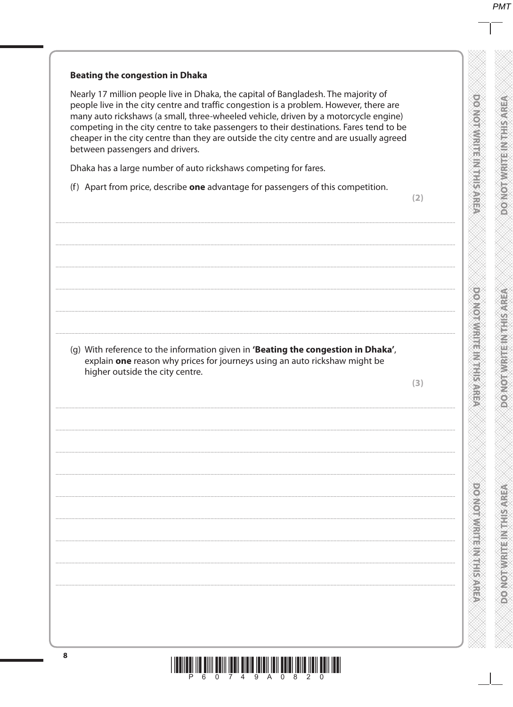| Nearly 17 million people live in Dhaka, the capital of Bangladesh. The majority of<br>people live in the city centre and traffic congestion is a problem. However, there are<br>many auto rickshaws (a small, three-wheeled vehicle, driven by a motorcycle engine)<br>competing in the city centre to take passengers to their destinations. Fares tend to be<br>cheaper in the city centre than they are outside the city centre and are usually agreed<br>between passengers and drivers. |     |   |
|----------------------------------------------------------------------------------------------------------------------------------------------------------------------------------------------------------------------------------------------------------------------------------------------------------------------------------------------------------------------------------------------------------------------------------------------------------------------------------------------|-----|---|
| Dhaka has a large number of auto rickshaws competing for fares.                                                                                                                                                                                                                                                                                                                                                                                                                              |     |   |
| (f) Apart from price, describe <b>one</b> advantage for passengers of this competition.                                                                                                                                                                                                                                                                                                                                                                                                      | (2) |   |
|                                                                                                                                                                                                                                                                                                                                                                                                                                                                                              |     |   |
| (g) With reference to the information given in 'Beating the congestion in Dhaka',<br>explain one reason why prices for journeys using an auto rickshaw might be<br>higher outside the city centre.                                                                                                                                                                                                                                                                                           | 31  |   |
|                                                                                                                                                                                                                                                                                                                                                                                                                                                                                              |     |   |
|                                                                                                                                                                                                                                                                                                                                                                                                                                                                                              |     |   |
|                                                                                                                                                                                                                                                                                                                                                                                                                                                                                              |     | 婴 |

# <u>TILDIN ÜL ÜHIL ÜHIL ÖDIL ÖHIL ÖHDIÖTIL ÖHIL ÖHIL ÖHIL ÖHIL HOLL</u>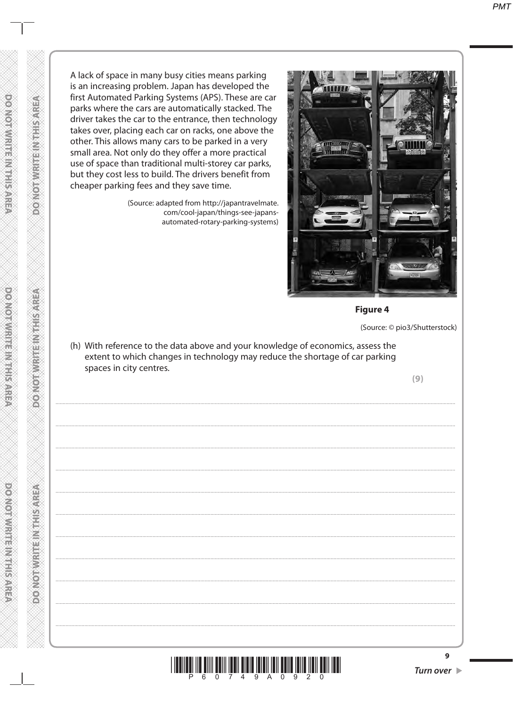A lack of space in many busy cities means parking is an increasing problem. Japan has developed the first Automated Parking Systems (APS). These are car parks where the cars are automatically stacked. The driver takes the car to the entrance, then technology takes over, placing each car on racks, one above the other. This allows many cars to be parked in a very small area. Not only do they offer a more practical use of space than traditional multi-storey car parks, but they cost less to build. The drivers benefit from cheaper parking fees and they save time.

> (Source: adapted from http://japantravelmate. com/cool-japan/things-see-japansautomated-rotary-parking-systems)



**Figure 4** 

(Source: © pio3/Shutterstock)

(h) With reference to the data above and your knowledge of economics, assess the extent to which changes in technology may reduce the shortage of car parking spaces in city centres.

 $(9)$ 



 $\overline{9}$ 

**DONNESS WAS ARRESTED** 

û, ÷

Ž

酋

la<br>C

È

**CONSTRUCTION** 

ö

医学

Ù, 鸯

ž

îñ

쥰

Ø. 元体 Z ₹

 $\circ$  $\frac{1}{2}$ 

**CONCORDER DESCRIPTION**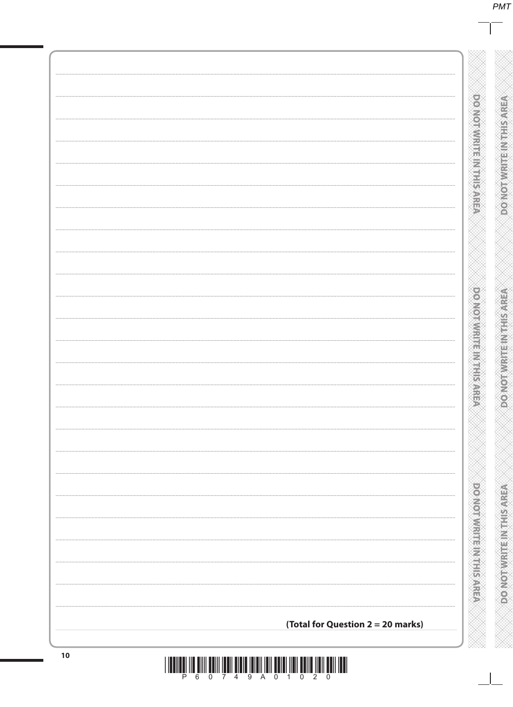|                                   | <b>DOMOROMENT ENDINEER</b>             | <b>REBRESHER MERINDER</b>                             |
|-----------------------------------|----------------------------------------|-------------------------------------------------------|
|                                   |                                        |                                                       |
|                                   |                                        |                                                       |
|                                   |                                        |                                                       |
|                                   |                                        |                                                       |
|                                   |                                        |                                                       |
|                                   |                                        |                                                       |
|                                   |                                        |                                                       |
|                                   |                                        |                                                       |
|                                   | <b>PONDORO PROTECTIVE SERVICE</b>      | <b><i><u> Condition of American Condition</u></i></b> |
|                                   |                                        |                                                       |
|                                   |                                        |                                                       |
|                                   |                                        |                                                       |
|                                   |                                        |                                                       |
|                                   |                                        |                                                       |
|                                   |                                        |                                                       |
|                                   |                                        |                                                       |
|                                   |                                        |                                                       |
|                                   |                                        |                                                       |
|                                   |                                        |                                                       |
|                                   |                                        |                                                       |
|                                   | <b>POSITORY IN THE REPORT OF LIGHT</b> |                                                       |
|                                   |                                        |                                                       |
|                                   |                                        |                                                       |
| (Total for Question 2 = 20 marks) |                                        |                                                       |
|                                   |                                        |                                                       |

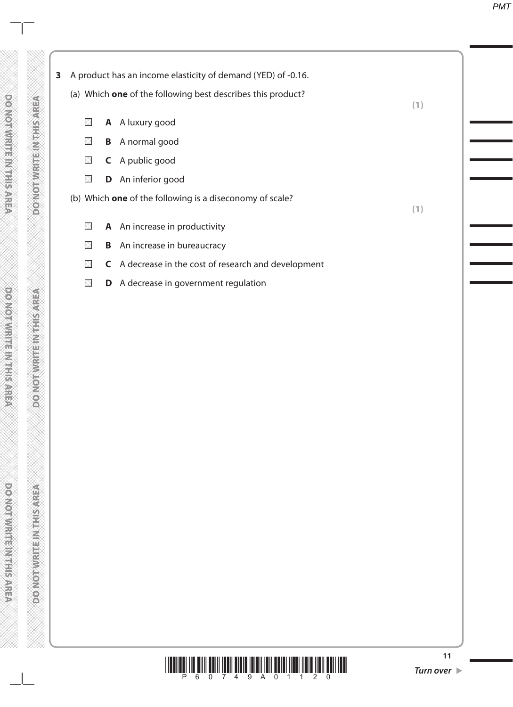| 3 |                |    | A product has an income elasticity of demand (YED) of -0.16.<br>(a) Which <b>one</b> of the following best describes this product? | (1) |
|---|----------------|----|------------------------------------------------------------------------------------------------------------------------------------|-----|
|   | $\boxtimes$    |    | A A luxury good                                                                                                                    |     |
|   | $\times$       |    | <b>B</b> A normal good                                                                                                             |     |
|   | $>\frac{1}{2}$ |    | <b>C</b> A public good                                                                                                             |     |
|   | $>\frac{1}{2}$ |    | <b>D</b> An inferior good                                                                                                          |     |
|   |                |    | (b) Which <b>one</b> of the following is a diseconomy of scale?                                                                    | (1) |
|   | $>\sum$        |    | A An increase in productivity                                                                                                      |     |
|   | $\bowtie$      |    | <b>B</b> An increase in bureaucracy                                                                                                |     |
|   | X              | C. | A decrease in the cost of research and development                                                                                 |     |
|   | X              | D  | A decrease in government regulation                                                                                                |     |

**DO NOT WRITE IN THIS AREA** 

**DO NO MURITER NEEDS ASSESS** 

**DO NOT WIRTHERN THIS AREA** 

**DO NOT WRITE IN THIS AREA** 

**DO NOT WRITEIN THIS AREA** 

**DONOTWRITEINTHSAREA** 

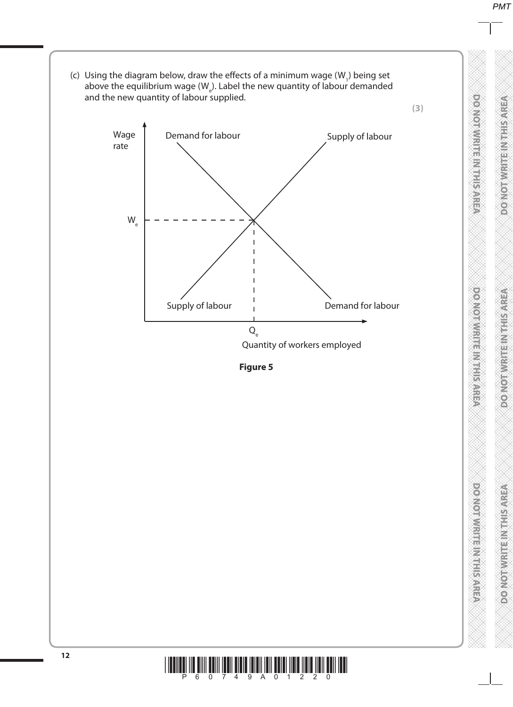(c) Using the diagram below, draw the effects of a minimum wage  $(W_1)$  being set above the equilibrium wage (W ). Label the new quantity of labour demanded and the new quantity of labour supplied. **(3)** Demand for labour Supply of labour Wage rate



**Figure 5**

**RESURE HUMBING CONSOLICIT** 

**CONGRATION ENTERTAINMENTS** 

**CASAS REGISTER** 

**PONDIDINIRIE: INSTERNED** 

**DOMOTIVISHEINTHIS/AREA** 

**DOMORAGE INTERNATIONAL PORT**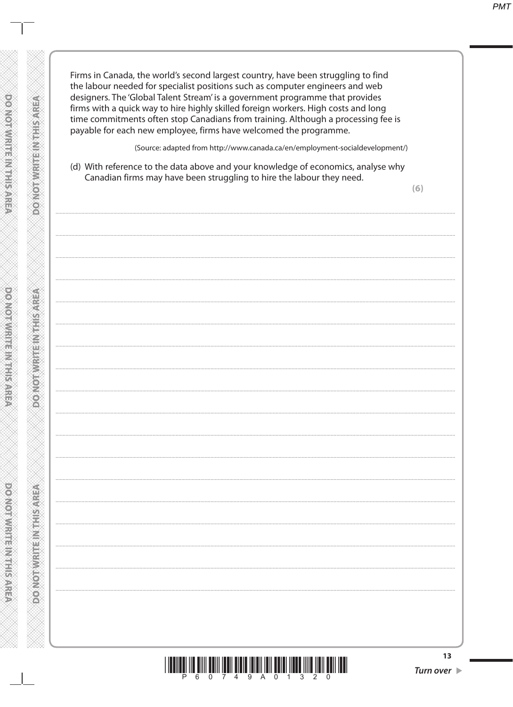| Firms in Canada, the world's second largest country, have been struggling to find<br>the labour needed for specialist positions such as computer engineers and web<br>designers. The 'Global Talent Stream' is a government programme that provides<br>firms with a quick way to hire highly skilled foreign workers. High costs and long<br>time commitments often stop Canadians from training. Although a processing fee is<br>payable for each new employee, firms have welcomed the programme. |     |
|-----------------------------------------------------------------------------------------------------------------------------------------------------------------------------------------------------------------------------------------------------------------------------------------------------------------------------------------------------------------------------------------------------------------------------------------------------------------------------------------------------|-----|
| (Source: adapted from http://www.canada.ca/en/employment-socialdevelopment/)                                                                                                                                                                                                                                                                                                                                                                                                                        |     |
| (d) With reference to the data above and your knowledge of economics, analyse why<br>Canadian firms may have been struggling to hire the labour they need.                                                                                                                                                                                                                                                                                                                                          |     |
|                                                                                                                                                                                                                                                                                                                                                                                                                                                                                                     | (6) |
|                                                                                                                                                                                                                                                                                                                                                                                                                                                                                                     |     |
|                                                                                                                                                                                                                                                                                                                                                                                                                                                                                                     |     |
|                                                                                                                                                                                                                                                                                                                                                                                                                                                                                                     |     |
|                                                                                                                                                                                                                                                                                                                                                                                                                                                                                                     |     |
|                                                                                                                                                                                                                                                                                                                                                                                                                                                                                                     |     |
|                                                                                                                                                                                                                                                                                                                                                                                                                                                                                                     |     |
|                                                                                                                                                                                                                                                                                                                                                                                                                                                                                                     |     |
|                                                                                                                                                                                                                                                                                                                                                                                                                                                                                                     |     |
|                                                                                                                                                                                                                                                                                                                                                                                                                                                                                                     |     |
|                                                                                                                                                                                                                                                                                                                                                                                                                                                                                                     |     |
|                                                                                                                                                                                                                                                                                                                                                                                                                                                                                                     |     |
|                                                                                                                                                                                                                                                                                                                                                                                                                                                                                                     |     |
|                                                                                                                                                                                                                                                                                                                                                                                                                                                                                                     |     |
|                                                                                                                                                                                                                                                                                                                                                                                                                                                                                                     |     |
|                                                                                                                                                                                                                                                                                                                                                                                                                                                                                                     |     |
|                                                                                                                                                                                                                                                                                                                                                                                                                                                                                                     |     |
|                                                                                                                                                                                                                                                                                                                                                                                                                                                                                                     |     |
|                                                                                                                                                                                                                                                                                                                                                                                                                                                                                                     |     |
|                                                                                                                                                                                                                                                                                                                                                                                                                                                                                                     |     |
|                                                                                                                                                                                                                                                                                                                                                                                                                                                                                                     |     |
|                                                                                                                                                                                                                                                                                                                                                                                                                                                                                                     |     |
|                                                                                                                                                                                                                                                                                                                                                                                                                                                                                                     |     |
|                                                                                                                                                                                                                                                                                                                                                                                                                                                                                                     |     |
|                                                                                                                                                                                                                                                                                                                                                                                                                                                                                                     |     |
|                                                                                                                                                                                                                                                                                                                                                                                                                                                                                                     |     |
|                                                                                                                                                                                                                                                                                                                                                                                                                                                                                                     |     |

**DONOTWRUE IN THIS AREA** 

**DOWNOTIVE INTERNATION** 

DOMOTWRITEMY NEWSFER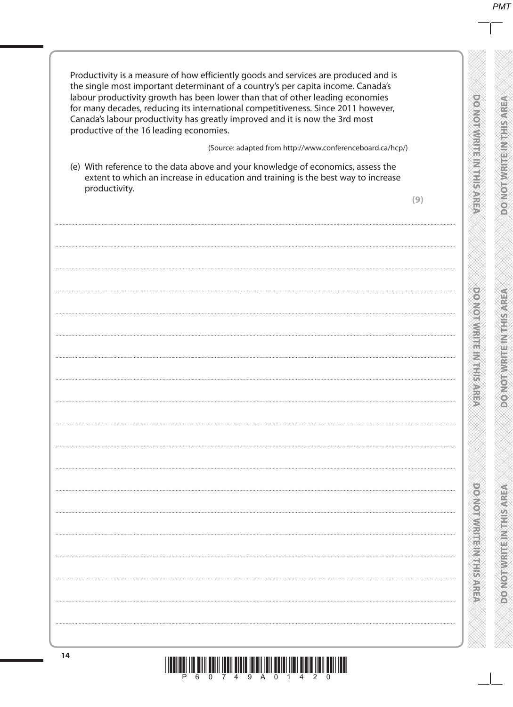Productivity is a measure of how efficiently goods and services are produced and is the single most important determinant of a country's per capita income. Canada's labour productivity growth has been lower than that of other leading economies for many decades, reducing its international competitiveness. Since 2011 however, Canada's labour productivity has greatly improved and it is now the 3rd most productive of the 16 leading economies.

(Source: adapted from http://www.conferenceboard.ca/hcp/)

(e) With reference to the data above and your knowledge of economics, assess the extent to which an increase in education and training is the best way to increase productivity.

 $(9)$ 

| è       |    |   |    |    |  |  |
|---------|----|---|----|----|--|--|
|         |    |   |    |    |  |  |
|         |    |   |    |    |  |  |
|         |    |   |    |    |  |  |
|         | é  |   |    |    |  |  |
|         |    |   |    |    |  |  |
|         | è  |   |    |    |  |  |
|         |    |   |    |    |  |  |
|         |    |   |    |    |  |  |
|         |    |   |    |    |  |  |
| ì       |    |   |    |    |  |  |
|         |    |   |    |    |  |  |
|         | ò  |   |    |    |  |  |
|         |    |   |    |    |  |  |
|         |    |   |    |    |  |  |
|         |    |   |    |    |  |  |
|         |    |   |    |    |  |  |
|         |    |   |    |    |  |  |
|         |    |   |    |    |  |  |
|         |    |   |    |    |  |  |
|         |    |   |    |    |  |  |
|         |    |   | X  |    |  |  |
|         |    |   |    |    |  |  |
|         |    |   |    |    |  |  |
|         |    |   |    |    |  |  |
|         | ù. |   | ê. |    |  |  |
|         |    |   |    |    |  |  |
|         | Ž  |   |    |    |  |  |
|         |    |   |    |    |  |  |
|         |    |   |    |    |  |  |
|         |    |   |    | í  |  |  |
|         |    |   |    |    |  |  |
|         |    |   |    |    |  |  |
|         |    |   |    |    |  |  |
|         |    |   | ₩  |    |  |  |
|         |    |   |    |    |  |  |
|         |    |   |    |    |  |  |
|         |    |   |    |    |  |  |
|         |    |   |    |    |  |  |
|         | Ě  |   |    |    |  |  |
|         |    |   |    | Ã, |  |  |
|         |    |   |    |    |  |  |
|         |    |   |    |    |  |  |
|         |    |   |    |    |  |  |
|         |    |   |    |    |  |  |
|         |    |   |    |    |  |  |
|         |    |   |    |    |  |  |
|         |    |   |    | ĭ  |  |  |
|         |    | ò |    |    |  |  |
|         |    |   |    |    |  |  |
|         |    |   |    |    |  |  |
| ¥       |    |   |    |    |  |  |
|         |    |   |    |    |  |  |
|         |    |   |    |    |  |  |
|         |    |   |    |    |  |  |
| í       |    |   |    |    |  |  |
|         |    |   |    |    |  |  |
|         |    |   |    |    |  |  |
|         |    |   |    |    |  |  |
|         |    |   |    |    |  |  |
| 小田 ショード |    |   |    |    |  |  |
|         |    |   |    |    |  |  |
|         |    |   |    |    |  |  |
|         |    |   |    |    |  |  |
|         |    |   |    |    |  |  |
| Ì       |    |   |    |    |  |  |
| ¥       |    |   |    |    |  |  |
|         |    |   |    |    |  |  |
|         |    |   |    |    |  |  |
|         |    |   |    |    |  |  |
|         |    |   |    |    |  |  |
|         |    |   |    |    |  |  |
|         |    |   |    |    |  |  |
|         |    |   |    |    |  |  |
|         |    |   |    |    |  |  |
|         |    |   |    |    |  |  |
|         |    |   |    |    |  |  |
|         |    |   |    |    |  |  |
|         |    |   |    |    |  |  |
|         |    |   |    |    |  |  |
|         |    |   |    |    |  |  |
|         |    |   |    |    |  |  |
|         |    |   |    |    |  |  |
|         |    |   |    |    |  |  |
|         |    |   |    |    |  |  |
|         |    |   |    |    |  |  |
|         |    |   |    |    |  |  |
|         |    |   |    |    |  |  |
|         |    |   |    |    |  |  |
|         |    |   |    |    |  |  |
|         |    |   |    |    |  |  |
|         |    |   |    |    |  |  |
|         |    |   |    |    |  |  |

Õ

X

RES RES RES RES RES RES RES RES

X)<br>X)

**PORTOR THE HISTORY** 

*CERT RESIDENT REPAIRING COMPOSITION* 

**PERIODIAN STRAIGHTS AND STRAIGHTS** 

- 6 0 7 4 9 A 0 1 4 2 C

**PMT** 

**DOSNOVNING BISHING PRESENT** 

**RESIRES IN THE REPORT OF STRONG** 

14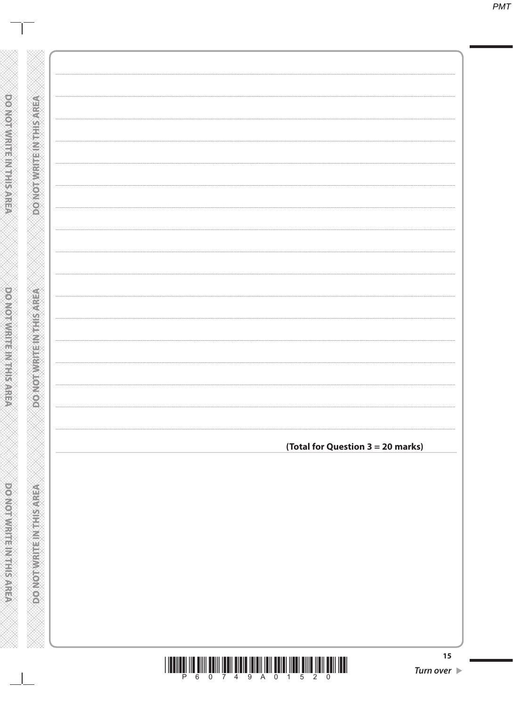| postos en maner de l'estat<br><b>REED REED FOR STRONG CONS</b><br><b>DONOMIAL STREET</b><br><b>WRITE NATHSARE</b><br>O.C<br>(Total for Question 3 = 20 marks)<br><b>DIGITION PROPERTY AND REAL STATE</b><br><b>REPARED A REPARED NO PRODUCT</b> |
|-------------------------------------------------------------------------------------------------------------------------------------------------------------------------------------------------------------------------------------------------|
|                                                                                                                                                                                                                                                 |
|                                                                                                                                                                                                                                                 |
|                                                                                                                                                                                                                                                 |

. . . . . . . . . . . . . . . . . . . .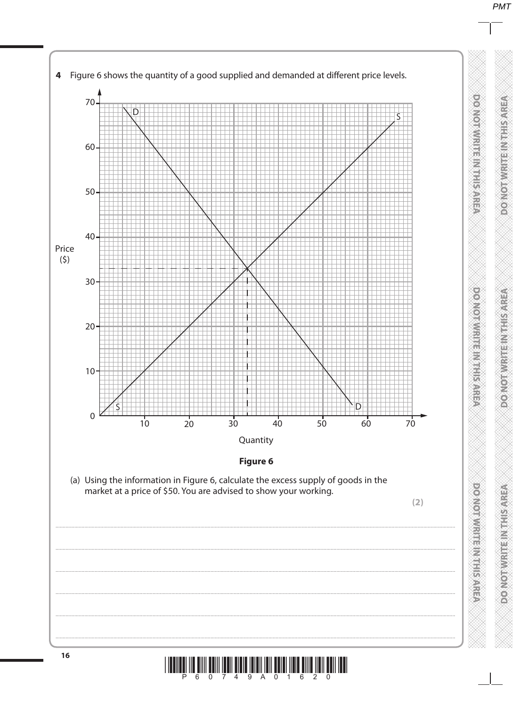

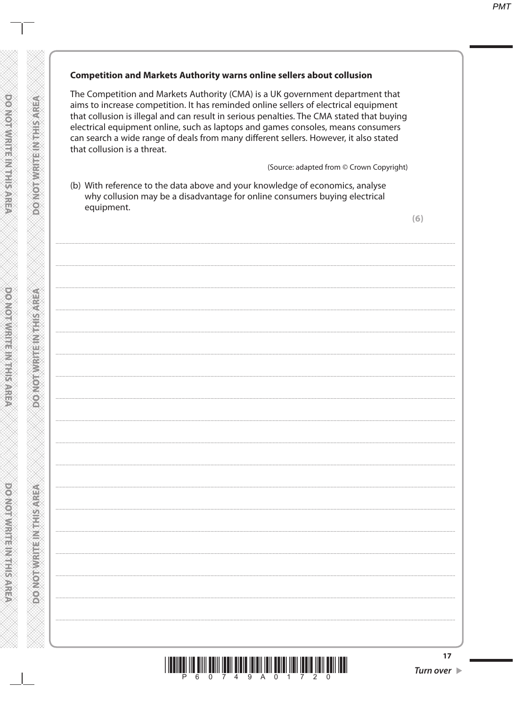| <b>Competition and Markets Authority warns online sellers about collusion</b> |  |
|-------------------------------------------------------------------------------|--|
|-------------------------------------------------------------------------------|--|

The Competition and Markets Authority (CMA) is a UK government department that aims to increase competition. It has reminded online sellers of electrical equipment that collusion is illegal and can result in serious penalties. The CMA stated that buying electrical equipment online, such as laptops and games consoles, means consumers can search a wide range of deals from many different sellers. However, it also stated that collusion is a threat.

(Source: adapted from © Crown Copyright)

(b) With reference to the data above and your knowledge of economics, analyse why collusion may be a disadvantage for online consumers buying electrical equipment.

 $(6)$ 

i<br>C

C<br>C

Ž

 $\frac{6}{2}$ 

**THISSAREA** 

**Marian** 

DON OF

**CANADIAN SEPTEMBER 1989** 

e xia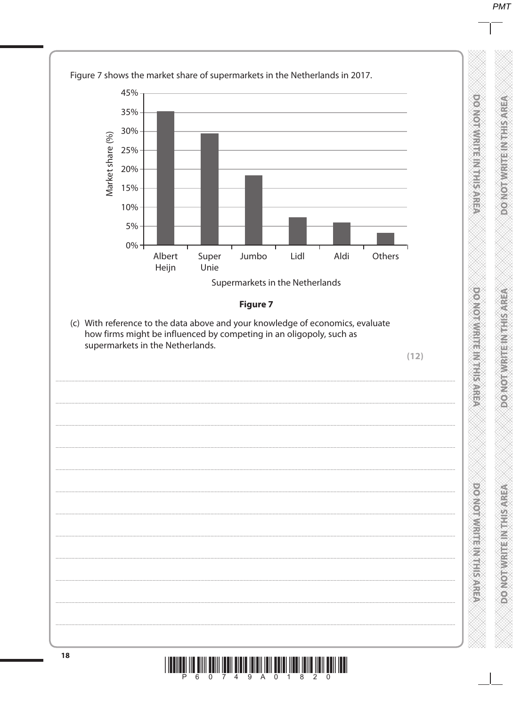

**RESISSED IN ENGINEERING** 

**ROX NOTABLE ENTERTAINMENT** 

**DORNOVANIA PRESIDENTIAL** 

**ENGINEERING** 

**DO NOT WRITE IN THIS AREA** 

*CERT RESIDENT REPAIRING COMPOSITION* 

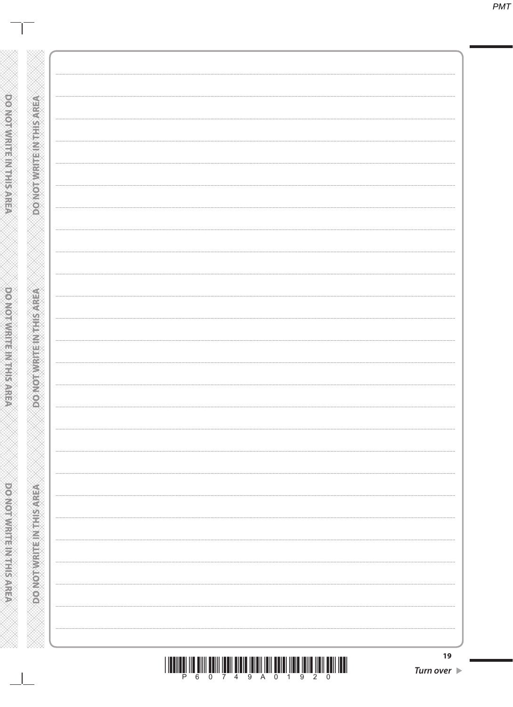| <br><br><br><br> | <b>DONOLWIRENNIELSWE</b> | <b>MONAUTHER</b> | <b>Norwissing Marisons</b> |
|------------------|--------------------------|------------------|----------------------------|
|                  | ń                        |                  | ŃĎ,                        |
|                  |                          |                  |                            |
|                  |                          |                  |                            |
|                  |                          |                  |                            |
|                  |                          |                  |                            |
|                  |                          |                  |                            |

 $\sim 1$ 

 $\Box$